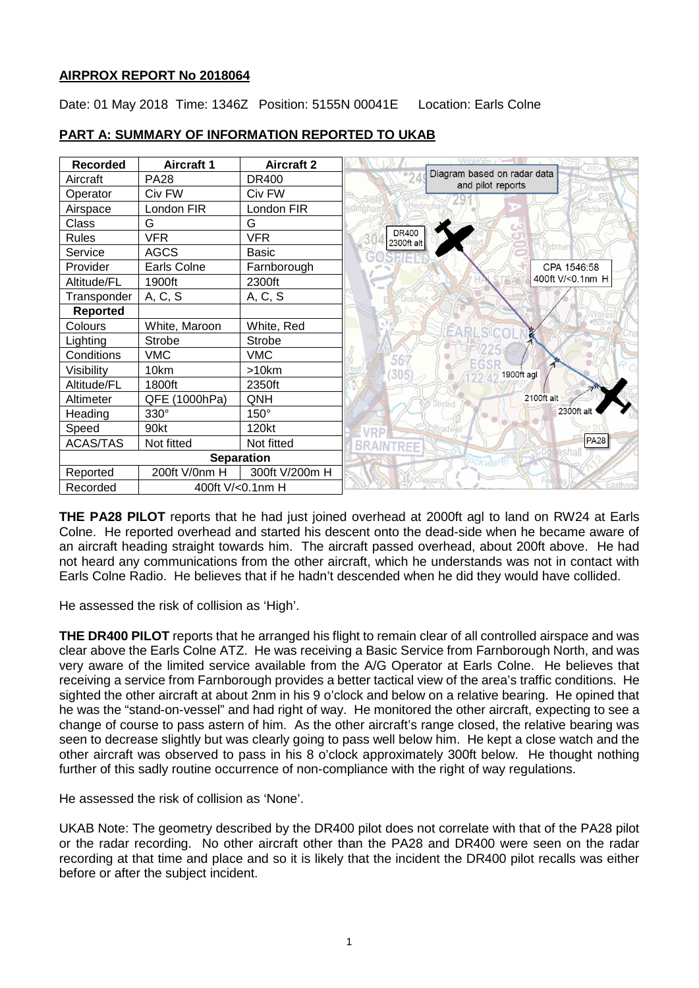### **AIRPROX REPORT No 2018064**

Date: 01 May 2018 Time: 1346Z Position: 5155N 00041E Location: Earls Colne



# **PART A: SUMMARY OF INFORMATION REPORTED TO UKAB**

**THE PA28 PILOT** reports that he had just joined overhead at 2000ft agl to land on RW24 at Earls Colne. He reported overhead and started his descent onto the dead-side when he became aware of an aircraft heading straight towards him. The aircraft passed overhead, about 200ft above. He had not heard any communications from the other aircraft, which he understands was not in contact with Earls Colne Radio. He believes that if he hadn't descended when he did they would have collided.

He assessed the risk of collision as 'High'.

**THE DR400 PILOT** reports that he arranged his flight to remain clear of all controlled airspace and was clear above the Earls Colne ATZ. He was receiving a Basic Service from Farnborough North, and was very aware of the limited service available from the A/G Operator at Earls Colne. He believes that receiving a service from Farnborough provides a better tactical view of the area's traffic conditions. He sighted the other aircraft at about 2nm in his 9 o'clock and below on a relative bearing. He opined that he was the "stand-on-vessel" and had right of way. He monitored the other aircraft, expecting to see a change of course to pass astern of him. As the other aircraft's range closed, the relative bearing was seen to decrease slightly but was clearly going to pass well below him. He kept a close watch and the other aircraft was observed to pass in his 8 o'clock approximately 300ft below. He thought nothing further of this sadly routine occurrence of non-compliance with the right of way regulations.

He assessed the risk of collision as 'None'.

UKAB Note: The geometry described by the DR400 pilot does not correlate with that of the PA28 pilot or the radar recording. No other aircraft other than the PA28 and DR400 were seen on the radar recording at that time and place and so it is likely that the incident the DR400 pilot recalls was either before or after the subject incident.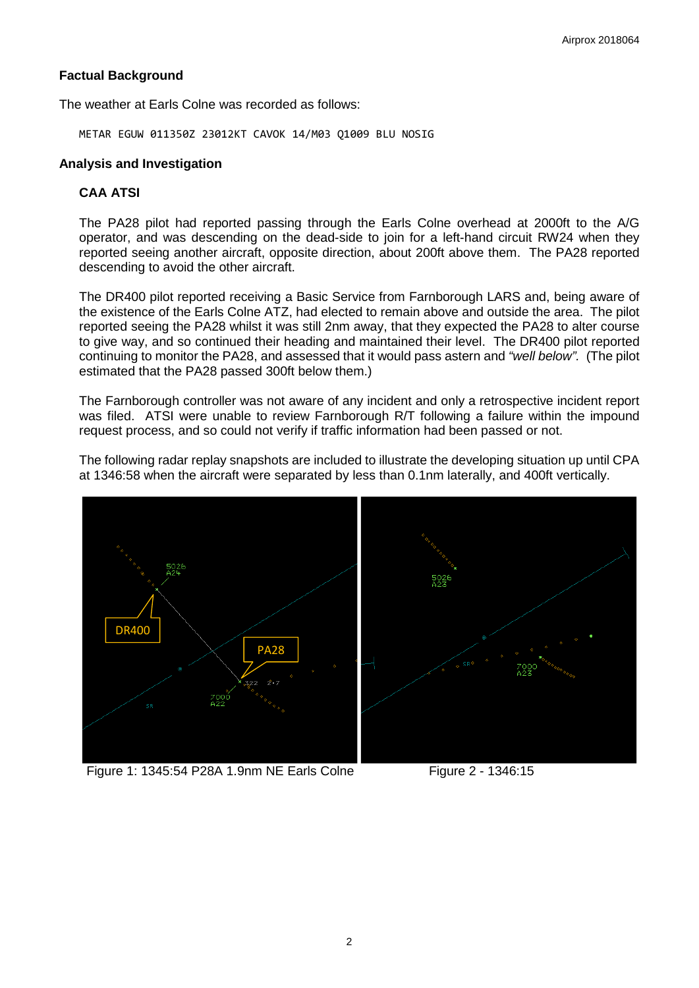## **Factual Background**

The weather at Earls Colne was recorded as follows:

METAR EGUW 011350Z 23012KT CAVOK 14/M03 Q1009 BLU NOSIG

## **Analysis and Investigation**

# **CAA ATSI**

The PA28 pilot had reported passing through the Earls Colne overhead at 2000ft to the A/G operator, and was descending on the dead-side to join for a left-hand circuit RW24 when they reported seeing another aircraft, opposite direction, about 200ft above them. The PA28 reported descending to avoid the other aircraft.

The DR400 pilot reported receiving a Basic Service from Farnborough LARS and, being aware of the existence of the Earls Colne ATZ, had elected to remain above and outside the area. The pilot reported seeing the PA28 whilst it was still 2nm away, that they expected the PA28 to alter course to give way, and so continued their heading and maintained their level. The DR400 pilot reported continuing to monitor the PA28, and assessed that it would pass astern and *"well below".* (The pilot estimated that the PA28 passed 300ft below them.)

The Farnborough controller was not aware of any incident and only a retrospective incident report was filed. ATSI were unable to review Farnborough R/T following a failure within the impound request process, and so could not verify if traffic information had been passed or not.

The following radar replay snapshots are included to illustrate the developing situation up until CPA at 1346:58 when the aircraft were separated by less than 0.1nm laterally, and 400ft vertically.



Figure 1: 1345:54 P28A 1.9nm NE Earls Colne Figure 2 - 1346:15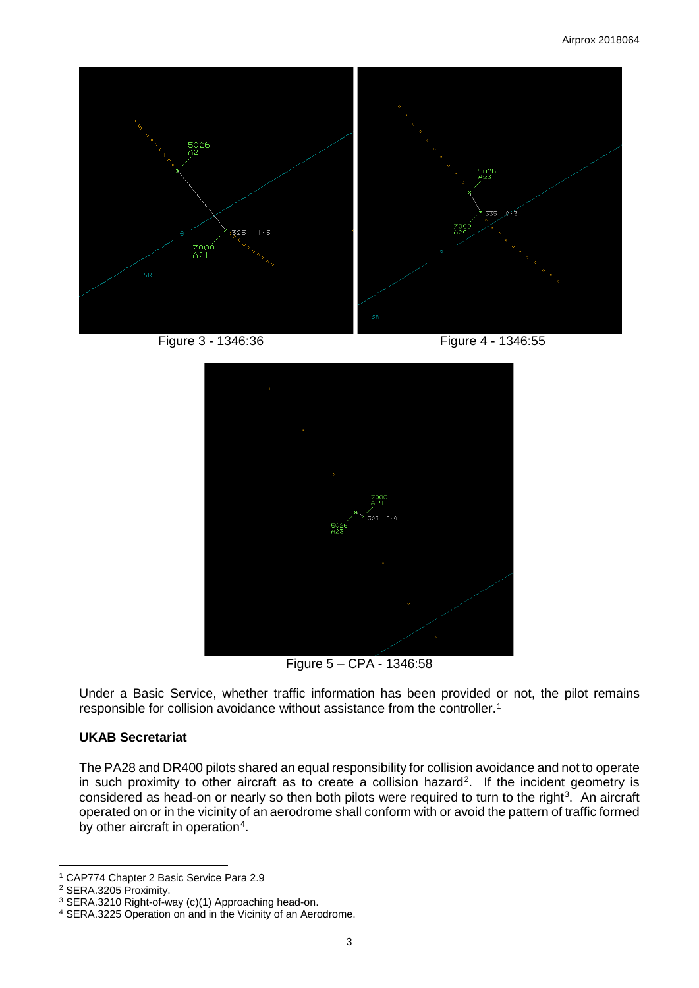

Figure 3 - 1346:36 Figure 4 - 1346:55



Figure 5 – CPA - 1346:58

Under a Basic Service, whether traffic information has been provided or not, the pilot remains responsible for collision avoidance without assistance from the controller.[1](#page-2-0)

#### **UKAB Secretariat**

The PA28 and DR400 pilots shared an equal responsibility for collision avoidance and not to operate in such proximity to other aircraft as to create a collision hazard<sup>[2](#page-2-1)</sup>. If the incident geometry is considered as head-on or nearly so then both pilots were required to turn to the right<sup>[3](#page-2-2)</sup>. An aircraft operated on or in the vicinity of an aerodrome shall conform with or avoid the pattern of traffic formed by other aircraft in operation<sup>[4](#page-2-3)</sup>.

 $\overline{a}$ 

<span id="page-2-0"></span><sup>1</sup> CAP774 Chapter 2 Basic Service Para 2.9

<span id="page-2-1"></span><sup>2</sup> SERA.3205 Proximity.

<span id="page-2-2"></span><sup>3</sup> SERA.3210 Right-of-way (c)(1) Approaching head-on.

<span id="page-2-3"></span><sup>4</sup> SERA.3225 Operation on and in the Vicinity of an Aerodrome.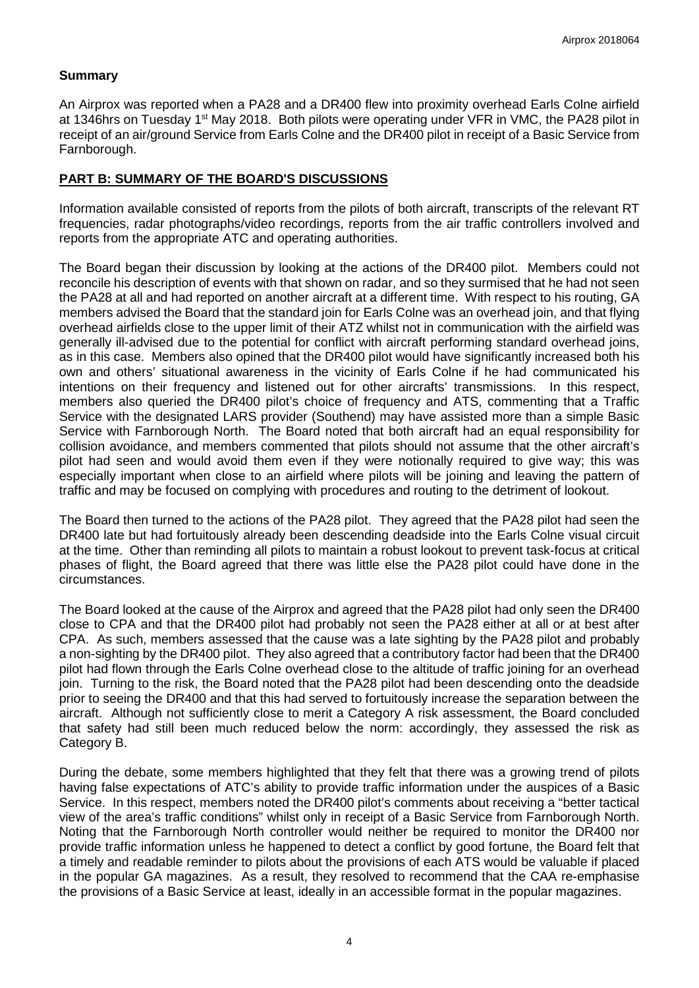### **Summary**

An Airprox was reported when a PA28 and a DR400 flew into proximity overhead Earls Colne airfield at 1346hrs on Tuesday 1<sup>st</sup> May 2018. Both pilots were operating under VFR in VMC, the PA28 pilot in receipt of an air/ground Service from Earls Colne and the DR400 pilot in receipt of a Basic Service from Farnborough.

## **PART B: SUMMARY OF THE BOARD'S DISCUSSIONS**

Information available consisted of reports from the pilots of both aircraft, transcripts of the relevant RT frequencies, radar photographs/video recordings, reports from the air traffic controllers involved and reports from the appropriate ATC and operating authorities.

The Board began their discussion by looking at the actions of the DR400 pilot. Members could not reconcile his description of events with that shown on radar, and so they surmised that he had not seen the PA28 at all and had reported on another aircraft at a different time. With respect to his routing, GA members advised the Board that the standard join for Earls Colne was an overhead join, and that flying overhead airfields close to the upper limit of their ATZ whilst not in communication with the airfield was generally ill-advised due to the potential for conflict with aircraft performing standard overhead joins, as in this case. Members also opined that the DR400 pilot would have significantly increased both his own and others' situational awareness in the vicinity of Earls Colne if he had communicated his intentions on their frequency and listened out for other aircrafts' transmissions. In this respect, members also queried the DR400 pilot's choice of frequency and ATS, commenting that a Traffic Service with the designated LARS provider (Southend) may have assisted more than a simple Basic Service with Farnborough North. The Board noted that both aircraft had an equal responsibility for collision avoidance, and members commented that pilots should not assume that the other aircraft's pilot had seen and would avoid them even if they were notionally required to give way; this was especially important when close to an airfield where pilots will be joining and leaving the pattern of traffic and may be focused on complying with procedures and routing to the detriment of lookout.

The Board then turned to the actions of the PA28 pilot. They agreed that the PA28 pilot had seen the DR400 late but had fortuitously already been descending deadside into the Earls Colne visual circuit at the time. Other than reminding all pilots to maintain a robust lookout to prevent task-focus at critical phases of flight, the Board agreed that there was little else the PA28 pilot could have done in the circumstances.

The Board looked at the cause of the Airprox and agreed that the PA28 pilot had only seen the DR400 close to CPA and that the DR400 pilot had probably not seen the PA28 either at all or at best after CPA. As such, members assessed that the cause was a late sighting by the PA28 pilot and probably a non-sighting by the DR400 pilot. They also agreed that a contributory factor had been that the DR400 pilot had flown through the Earls Colne overhead close to the altitude of traffic joining for an overhead join. Turning to the risk, the Board noted that the PA28 pilot had been descending onto the deadside prior to seeing the DR400 and that this had served to fortuitously increase the separation between the aircraft. Although not sufficiently close to merit a Category A risk assessment, the Board concluded that safety had still been much reduced below the norm: accordingly, they assessed the risk as Category B.

During the debate, some members highlighted that they felt that there was a growing trend of pilots having false expectations of ATC's ability to provide traffic information under the auspices of a Basic Service. In this respect, members noted the DR400 pilot's comments about receiving a "better tactical view of the area's traffic conditions" whilst only in receipt of a Basic Service from Farnborough North. Noting that the Farnborough North controller would neither be required to monitor the DR400 nor provide traffic information unless he happened to detect a conflict by good fortune, the Board felt that a timely and readable reminder to pilots about the provisions of each ATS would be valuable if placed in the popular GA magazines. As a result, they resolved to recommend that the CAA re-emphasise the provisions of a Basic Service at least, ideally in an accessible format in the popular magazines.